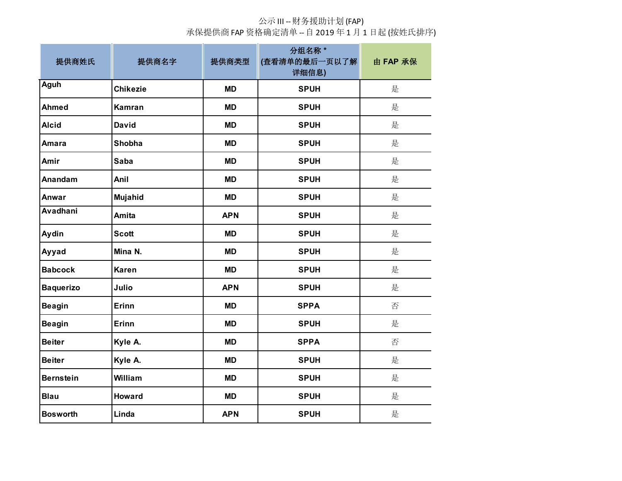| 提供商姓氏            | 提供商名字           | 提供商类型      | 分组名称*<br>(查看清单的最后一页以了解)<br>详细信息) | 由 FAP 承保 |
|------------------|-----------------|------------|----------------------------------|----------|
| <b>Aguh</b>      | <b>Chikezie</b> | <b>MD</b>  | <b>SPUH</b>                      | 是        |
| <b>Ahmed</b>     | <b>Kamran</b>   | <b>MD</b>  | <b>SPUH</b>                      | 是        |
| <b>Alcid</b>     | <b>David</b>    | <b>MD</b>  | <b>SPUH</b>                      | 是        |
| Amara            | Shobha          | <b>MD</b>  | <b>SPUH</b>                      | 是        |
| Amir             | <b>Saba</b>     | <b>MD</b>  | <b>SPUH</b>                      | 是        |
| Anandam          | Anil            | <b>MD</b>  | <b>SPUH</b>                      | 是        |
| Anwar            | Mujahid         | <b>MD</b>  | <b>SPUH</b>                      | 是        |
| <b>Avadhani</b>  | Amita           | <b>APN</b> | <b>SPUH</b>                      | 是        |
| Aydin            | <b>Scott</b>    | <b>MD</b>  | <b>SPUH</b>                      | 是        |
| Ayyad            | Mina N.         | <b>MD</b>  | <b>SPUH</b>                      | 是        |
| <b>Babcock</b>   | <b>Karen</b>    | <b>MD</b>  | <b>SPUH</b>                      | 是        |
| <b>Baquerizo</b> | Julio           | <b>APN</b> | <b>SPUH</b>                      | 是        |
| <b>Beagin</b>    | Erinn           | <b>MD</b>  | <b>SPPA</b>                      | 否        |
| <b>Beagin</b>    | Erinn           | <b>MD</b>  | <b>SPUH</b>                      | 是        |
| <b>Beiter</b>    | Kyle A.         | <b>MD</b>  | <b>SPPA</b>                      | 否        |
| <b>Beiter</b>    | Kyle A.         | <b>MD</b>  | <b>SPUH</b>                      | 是        |
| <b>Bernstein</b> | William         | <b>MD</b>  | <b>SPUH</b>                      | 是        |
| <b>Blau</b>      | <b>Howard</b>   | <b>MD</b>  | <b>SPUH</b>                      | 是        |
| <b>Bosworth</b>  | Linda           | <b>APN</b> | <b>SPUH</b>                      | 是        |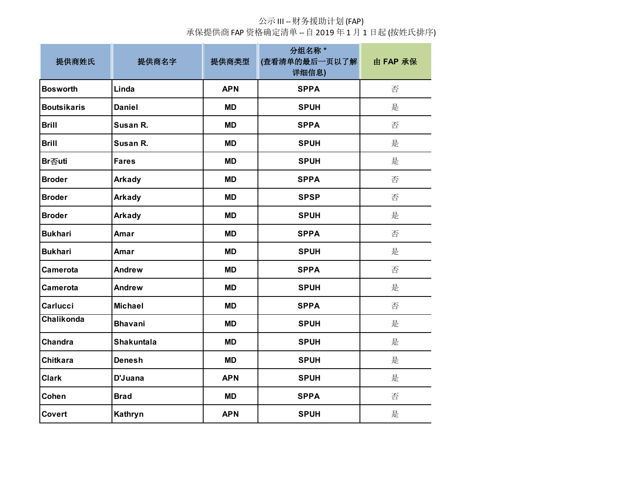| 提供商姓氏              | 提供商名字          | 提供商类型      | 分组名称*<br>(查看清单的最后一页以了解<br>详细信息) | 由 FAP 承保 |
|--------------------|----------------|------------|---------------------------------|----------|
| <b>Bosworth</b>    | Linda          | <b>APN</b> | <b>SPPA</b>                     | 否        |
| <b>Boutsikaris</b> | <b>Daniel</b>  | <b>MD</b>  | <b>SPUH</b>                     | 是        |
| <b>Brill</b>       | Susan R.       | <b>MD</b>  | <b>SPPA</b>                     | 否        |
| <b>Brill</b>       | Susan R.       | <b>MD</b>  | <b>SPUH</b>                     | 是        |
| Br否uti             | <b>Fares</b>   | <b>MD</b>  | <b>SPUH</b>                     | 是        |
| <b>Broder</b>      | Arkady         | <b>MD</b>  | <b>SPPA</b>                     | 否        |
| <b>Broder</b>      | Arkady         | <b>MD</b>  | <b>SPSP</b>                     | 否        |
| <b>Broder</b>      | Arkady         | <b>MD</b>  | <b>SPUH</b>                     | 是        |
| <b>Bukhari</b>     | Amar           | <b>MD</b>  | <b>SPPA</b>                     | 否        |
| <b>Bukhari</b>     | Amar           | <b>MD</b>  | <b>SPUH</b>                     | 是        |
| Camerota           | <b>Andrew</b>  | <b>MD</b>  | <b>SPPA</b>                     | 否        |
| Camerota           | Andrew         | <b>MD</b>  | <b>SPUH</b>                     | 是        |
| <b>Carlucci</b>    | <b>Michael</b> | <b>MD</b>  | <b>SPPA</b>                     | 否        |
| <b>Chalikonda</b>  | <b>Bhavani</b> | <b>MD</b>  | <b>SPUH</b>                     | 是        |
| Chandra            | Shakuntala     | <b>MD</b>  | <b>SPUH</b>                     | 是        |
| <b>Chitkara</b>    | <b>Denesh</b>  | <b>MD</b>  | <b>SPUH</b>                     | 是        |
| <b>Clark</b>       | D'Juana        | <b>APN</b> | <b>SPUH</b>                     | 是        |
| Cohen              | <b>Brad</b>    | <b>MD</b>  | <b>SPPA</b>                     | 否        |
| Covert             | Kathryn        | <b>APN</b> | <b>SPUH</b>                     | 是        |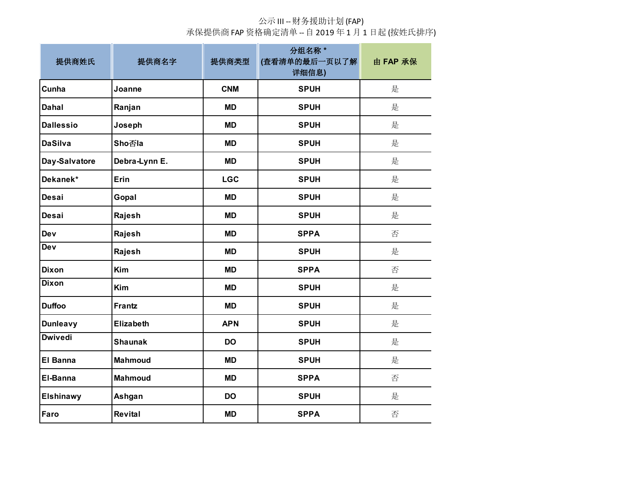| 提供商姓氏            | 提供商名字            | 提供商类型      | 分组名称 *<br>(查看清单的最后一页以了解<br>详细信息) | 由 FAP 承保 |
|------------------|------------------|------------|----------------------------------|----------|
| <b>Cunha</b>     | Joanne           | <b>CNM</b> | <b>SPUH</b>                      | 是        |
| Dahal            | Ranjan           | <b>MD</b>  | <b>SPUH</b>                      | 是        |
| <b>Dallessio</b> | Joseph           | <b>MD</b>  | <b>SPUH</b>                      | 是        |
| <b>DaSilva</b>   | <b>Sho否la</b>    | <b>MD</b>  | <b>SPUH</b>                      | 是        |
| Day-Salvatore    | Debra-Lynn E.    | <b>MD</b>  | <b>SPUH</b>                      | 是        |
| Dekanek*         | <b>Erin</b>      | <b>LGC</b> | <b>SPUH</b>                      | 是        |
| Desai            | Gopal            | <b>MD</b>  | <b>SPUH</b>                      | 是        |
| Desai            | Rajesh           | <b>MD</b>  | <b>SPUH</b>                      | 是        |
| Dev              | Rajesh           | <b>MD</b>  | <b>SPPA</b>                      | 否        |
| Dev              | Rajesh           | <b>MD</b>  | <b>SPUH</b>                      | 是        |
| <b>Dixon</b>     | Kim              | <b>MD</b>  | <b>SPPA</b>                      | 否        |
| <b>Dixon</b>     | Kim              | <b>MD</b>  | <b>SPUH</b>                      | 是        |
| <b>Duffoo</b>    | <b>Frantz</b>    | <b>MD</b>  | <b>SPUH</b>                      | 是        |
| <b>Dunleavy</b>  | <b>Elizabeth</b> | <b>APN</b> | <b>SPUH</b>                      | 是        |
| <b>Dwivedi</b>   | <b>Shaunak</b>   | <b>DO</b>  | <b>SPUH</b>                      | 是        |
| <b>El Banna</b>  | <b>Mahmoud</b>   | <b>MD</b>  | <b>SPUH</b>                      | 是        |
| <b>El-Banna</b>  | <b>Mahmoud</b>   | <b>MD</b>  | <b>SPPA</b>                      | 否        |
| <b>Elshinawy</b> | Ashgan           | <b>DO</b>  | <b>SPUH</b>                      | 是        |
| Faro             | <b>Revital</b>   | <b>MD</b>  | <b>SPPA</b>                      | 否        |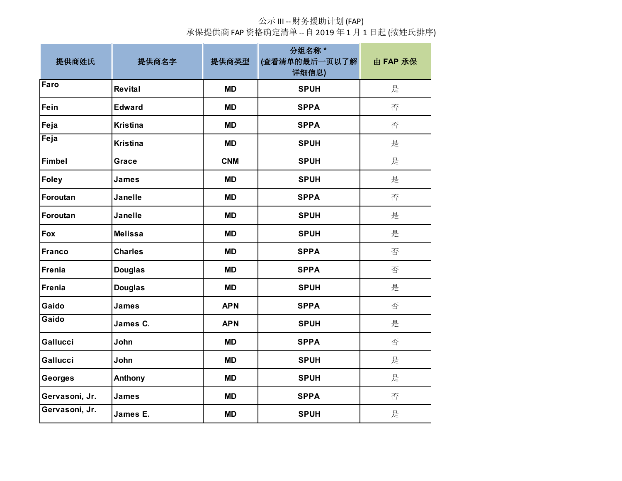| 提供商姓氏          | 提供商名字           | 提供商类型      | 分组名称 *<br>(查看清单的最后一页以了解<br>详细信息) | 由 FAP 承保 |
|----------------|-----------------|------------|----------------------------------|----------|
| Faro           | Revital         | <b>MD</b>  | <b>SPUH</b>                      | 是        |
| Fein           | <b>Edward</b>   | <b>MD</b>  | <b>SPPA</b>                      | 否        |
| Feja           | <b>Kristina</b> | <b>MD</b>  | <b>SPPA</b>                      | 否        |
| Feja           | <b>Kristina</b> | <b>MD</b>  | <b>SPUH</b>                      | 是        |
| Fimbel         | Grace           | <b>CNM</b> | <b>SPUH</b>                      | 是        |
| <b>Foley</b>   | James           | <b>MD</b>  | <b>SPUH</b>                      | 是        |
| Foroutan       | <b>Janelle</b>  | <b>MD</b>  | <b>SPPA</b>                      | 否        |
| Foroutan       | <b>Janelle</b>  | <b>MD</b>  | <b>SPUH</b>                      | 是        |
| Fox            | <b>Melissa</b>  | <b>MD</b>  | <b>SPUH</b>                      | 是        |
| Franco         | <b>Charles</b>  | <b>MD</b>  | <b>SPPA</b>                      | 否        |
| Frenia         | <b>Douglas</b>  | <b>MD</b>  | <b>SPPA</b>                      | 否        |
| Frenia         | <b>Douglas</b>  | <b>MD</b>  | <b>SPUH</b>                      | 是        |
| Gaido          | <b>James</b>    | <b>APN</b> | <b>SPPA</b>                      | 否        |
| Gaido          | James C.        | <b>APN</b> | <b>SPUH</b>                      | 是        |
| Gallucci       | John            | <b>MD</b>  | <b>SPPA</b>                      | 否        |
| Gallucci       | John            | <b>MD</b>  | <b>SPUH</b>                      | 是        |
| <b>Georges</b> | Anthony         | <b>MD</b>  | <b>SPUH</b>                      | 是        |
| Gervasoni, Jr. | James           | <b>MD</b>  | <b>SPPA</b>                      | 否        |
| Gervasoni, Jr. | James E.        | <b>MD</b>  | <b>SPUH</b>                      | 是        |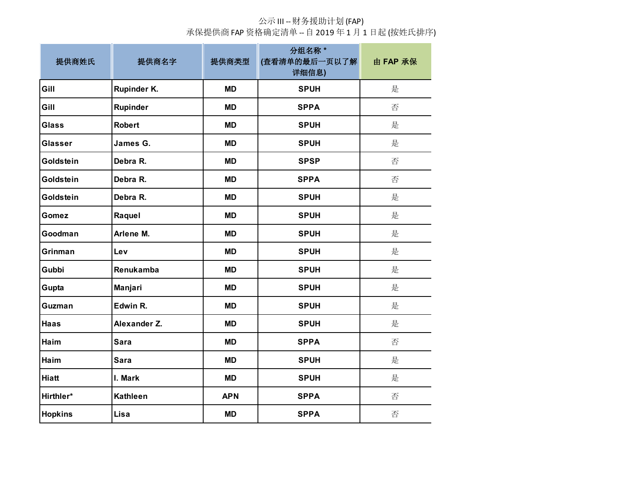| 提供商姓氏          | 提供商名字           | 提供商类型      | 分组名称*<br>(查看清单的最后一页以了解)<br>详细信息) | 由 FAP 承保 |
|----------------|-----------------|------------|----------------------------------|----------|
| Gill           | Rupinder K.     | <b>MD</b>  | <b>SPUH</b>                      | 是        |
| Gill           | <b>Rupinder</b> | <b>MD</b>  | <b>SPPA</b>                      | 否        |
| <b>Glass</b>   | <b>Robert</b>   | <b>MD</b>  | <b>SPUH</b>                      | 是        |
| <b>Glasser</b> | James G.        | <b>MD</b>  | <b>SPUH</b>                      | 是        |
| Goldstein      | Debra R.        | <b>MD</b>  | <b>SPSP</b>                      | 否        |
| Goldstein      | Debra R.        | <b>MD</b>  | <b>SPPA</b>                      | 否        |
| Goldstein      | Debra R.        | <b>MD</b>  | <b>SPUH</b>                      | 是        |
| <b>Gomez</b>   | Raquel          | <b>MD</b>  | <b>SPUH</b>                      | 是        |
| Goodman        | Arlene M.       | <b>MD</b>  | <b>SPUH</b>                      | 是        |
| Grinman        | Lev             | <b>MD</b>  | <b>SPUH</b>                      | 是        |
| Gubbi          | Renukamba       | <b>MD</b>  | <b>SPUH</b>                      | 是        |
| Gupta          | Manjari         | <b>MD</b>  | <b>SPUH</b>                      | 是        |
| Guzman         | Edwin R.        | <b>MD</b>  | <b>SPUH</b>                      | 是        |
| <b>Haas</b>    | Alexander Z.    | <b>MD</b>  | <b>SPUH</b>                      | 是        |
| Haim           | <b>Sara</b>     | <b>MD</b>  | <b>SPPA</b>                      | 否        |
| Haim           | Sara            | <b>MD</b>  | <b>SPUH</b>                      | 是        |
| <b>Hiatt</b>   | I. Mark         | <b>MD</b>  | <b>SPUH</b>                      | 是        |
| Hirthler*      | <b>Kathleen</b> | <b>APN</b> | <b>SPPA</b>                      | 否        |
| <b>Hopkins</b> | Lisa            | <b>MD</b>  | <b>SPPA</b>                      | 否        |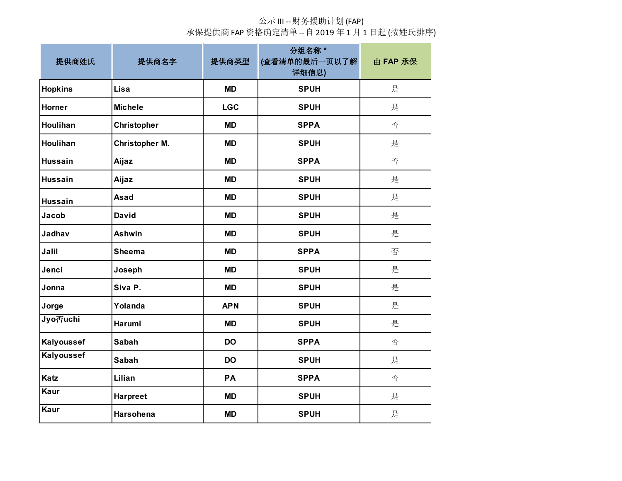| 提供商姓氏             | 提供商名字                 | 提供商类型      | 分组名称 *<br>(查看清单的最后一页以了解<br>详细信息) | 由 FAP 承保 |
|-------------------|-----------------------|------------|----------------------------------|----------|
| <b>Hopkins</b>    | Lisa                  | <b>MD</b>  | <b>SPUH</b>                      | 是        |
| Horner            | <b>Michele</b>        | <b>LGC</b> | <b>SPUH</b>                      | 是        |
| Houlihan          | <b>Christopher</b>    | <b>MD</b>  | <b>SPPA</b>                      | 否        |
| Houlihan          | <b>Christopher M.</b> | <b>MD</b>  | <b>SPUH</b>                      | 是        |
| <b>Hussain</b>    | Aijaz                 | <b>MD</b>  | <b>SPPA</b>                      | 否        |
| <b>Hussain</b>    | Aijaz                 | <b>MD</b>  | <b>SPUH</b>                      | 是        |
| <b>Hussain</b>    | Asad                  | <b>MD</b>  | <b>SPUH</b>                      | 是        |
| Jacob             | <b>David</b>          | <b>MD</b>  | <b>SPUH</b>                      | 是        |
| Jadhav            | <b>Ashwin</b>         | <b>MD</b>  | <b>SPUH</b>                      | 是        |
| Jalil             | <b>Sheema</b>         | <b>MD</b>  | <b>SPPA</b>                      | 否        |
| Jenci             | Joseph                | <b>MD</b>  | <b>SPUH</b>                      | 是        |
| Jonna             | Siva P.               | <b>MD</b>  | <b>SPUH</b>                      | 是        |
| Jorge             | Yolanda               | <b>APN</b> | <b>SPUH</b>                      | 是        |
| Jyo否uchi          | Harumi                | <b>MD</b>  | <b>SPUH</b>                      | 是        |
| Kalyoussef        | <b>Sabah</b>          | <b>DO</b>  | <b>SPPA</b>                      | 否        |
| <b>Kalyoussef</b> | <b>Sabah</b>          | <b>DO</b>  | <b>SPUH</b>                      | 是        |
| <b>Katz</b>       | Lilian                | PA         | <b>SPPA</b>                      | 否        |
| Kaur              | <b>Harpreet</b>       | <b>MD</b>  | <b>SPUH</b>                      | 是        |
| Kaur              | Harsohena             | <b>MD</b>  | <b>SPUH</b>                      | 是        |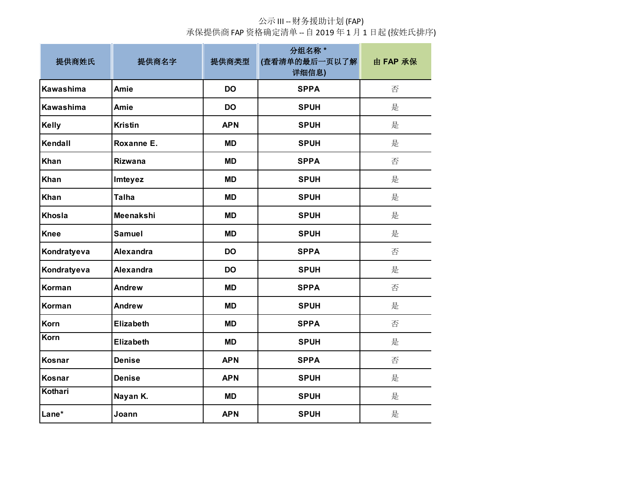| 提供商姓氏        | 提供商名字            | 提供商类型      | 分组名称 *<br>(查看清单的最后一页以了解<br>详细信息) | 由 FAP 承保 |
|--------------|------------------|------------|----------------------------------|----------|
| Kawashima    | Amie             | <b>DO</b>  | <b>SPPA</b>                      | 否        |
| Kawashima    | Amie             | <b>DO</b>  | <b>SPUH</b>                      | 是        |
| <b>Kelly</b> | <b>Kristin</b>   | <b>APN</b> | <b>SPUH</b>                      | 是        |
| Kendall      | Roxanne E.       | <b>MD</b>  | <b>SPUH</b>                      | 是        |
| <b>Khan</b>  | <b>Rizwana</b>   | <b>MD</b>  | <b>SPPA</b>                      | 否        |
| Khan         | Imteyez          | <b>MD</b>  | <b>SPUH</b>                      | 是        |
| <b>Khan</b>  | <b>Talha</b>     | <b>MD</b>  | <b>SPUH</b>                      | 是        |
| Khosla       | Meenakshi        | <b>MD</b>  | <b>SPUH</b>                      | 是        |
| <b>Knee</b>  | <b>Samuel</b>    | <b>MD</b>  | <b>SPUH</b>                      | 是        |
| Kondratyeva  | <b>Alexandra</b> | <b>DO</b>  | <b>SPPA</b>                      | 否        |
| Kondratyeva  | <b>Alexandra</b> | <b>DO</b>  | <b>SPUH</b>                      | 是        |
| Korman       | <b>Andrew</b>    | <b>MD</b>  | <b>SPPA</b>                      | 否        |
| Korman       | <b>Andrew</b>    | <b>MD</b>  | <b>SPUH</b>                      | 是        |
| Korn         | <b>Elizabeth</b> | <b>MD</b>  | <b>SPPA</b>                      | 否        |
| Korn         | <b>Elizabeth</b> | <b>MD</b>  | <b>SPUH</b>                      | 是        |
| Kosnar       | <b>Denise</b>    | <b>APN</b> | <b>SPPA</b>                      | 否        |
| Kosnar       | <b>Denise</b>    | <b>APN</b> | <b>SPUH</b>                      | 是        |
| Kothari      | Nayan K.         | <b>MD</b>  | <b>SPUH</b>                      | 是        |
| Lane*        | Joann            | <b>APN</b> | <b>SPUH</b>                      | 是        |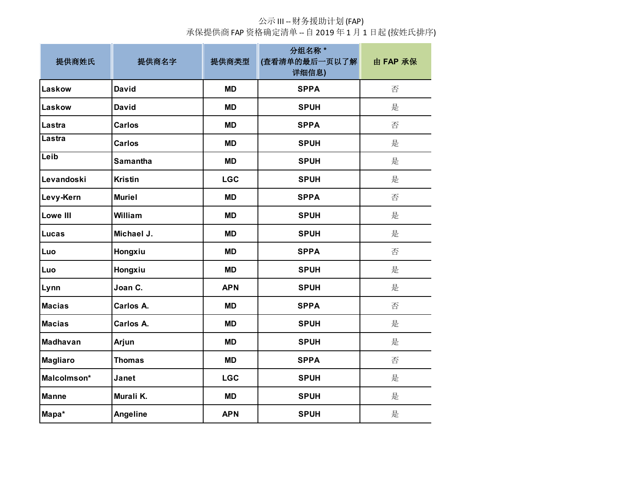| 提供商姓氏           | 提供商名字           | 提供商类型      | 分组名称 *<br>(查看清单的最后一页以了解<br>详细信息) | 由 FAP 承保 |
|-----------------|-----------------|------------|----------------------------------|----------|
| Laskow          | <b>David</b>    | <b>MD</b>  | <b>SPPA</b>                      | 否        |
| Laskow          | <b>David</b>    | <b>MD</b>  | <b>SPUH</b>                      | 是        |
| Lastra          | <b>Carlos</b>   | <b>MD</b>  | <b>SPPA</b>                      | 否        |
| Lastra          | <b>Carlos</b>   | <b>MD</b>  | <b>SPUH</b>                      | 是        |
| Leib            | <b>Samantha</b> | <b>MD</b>  | <b>SPUH</b>                      | 是        |
| Levandoski      | <b>Kristin</b>  | <b>LGC</b> | <b>SPUH</b>                      | 是        |
| Levy-Kern       | <b>Muriel</b>   | <b>MD</b>  | <b>SPPA</b>                      | 否        |
| <b>Lowe III</b> | William         | <b>MD</b>  | <b>SPUH</b>                      | 是        |
| Lucas           | Michael J.      | <b>MD</b>  | <b>SPUH</b>                      | 是        |
| Luo             | Hongxiu         | <b>MD</b>  | <b>SPPA</b>                      | 否        |
| Luo             | Hongxiu         | <b>MD</b>  | <b>SPUH</b>                      | 是        |
| Lynn            | Joan C.         | <b>APN</b> | <b>SPUH</b>                      | 是        |
| <b>Macias</b>   | Carlos A.       | <b>MD</b>  | <b>SPPA</b>                      | 否        |
| <b>Macias</b>   | Carlos A.       | <b>MD</b>  | <b>SPUH</b>                      | 是        |
| Madhavan        | Arjun           | <b>MD</b>  | <b>SPUH</b>                      | 是        |
| <b>Magliaro</b> | <b>Thomas</b>   | <b>MD</b>  | <b>SPPA</b>                      | 否        |
| Malcolmson*     | Janet           | <b>LGC</b> | <b>SPUH</b>                      | 是        |
| <b>Manne</b>    | Murali K.       | <b>MD</b>  | <b>SPUH</b>                      | 是        |
| Mapa*           | <b>Angeline</b> | <b>APN</b> | <b>SPUH</b>                      | 是        |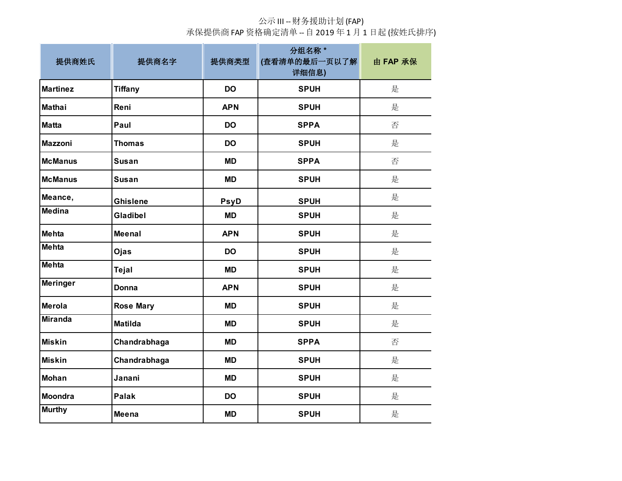| 提供商姓氏           | 提供商名字            | 提供商类型       | 分组名称 *<br>(查看清单的最后一页以了解<br>详细信息) | 由 FAP 承保 |
|-----------------|------------------|-------------|----------------------------------|----------|
| <b>Martinez</b> | <b>Tiffany</b>   | <b>DO</b>   | <b>SPUH</b>                      | 是        |
| <b>Mathai</b>   | Reni             | <b>APN</b>  | <b>SPUH</b>                      | 是        |
| <b>Matta</b>    | Paul             | <b>DO</b>   | <b>SPPA</b>                      | 否        |
| <b>Mazzoni</b>  | <b>Thomas</b>    | <b>DO</b>   | <b>SPUH</b>                      | 是        |
| <b>McManus</b>  | <b>Susan</b>     | <b>MD</b>   | <b>SPPA</b>                      | 否        |
| <b>McManus</b>  | <b>Susan</b>     | <b>MD</b>   | <b>SPUH</b>                      | 是        |
| Meance,         | <b>Ghislene</b>  | <b>PsyD</b> | <b>SPUH</b>                      | 是        |
| <b>Medina</b>   | Gladibel         | <b>MD</b>   | <b>SPUH</b>                      | 是        |
| <b>Mehta</b>    | <b>Meenal</b>    | <b>APN</b>  | <b>SPUH</b>                      | 是        |
| <b>Mehta</b>    | Ojas             | <b>DO</b>   | <b>SPUH</b>                      | 是        |
| <b>Mehta</b>    | Tejal            | <b>MD</b>   | <b>SPUH</b>                      | 是        |
| <b>Meringer</b> | Donna            | <b>APN</b>  | <b>SPUH</b>                      | 是        |
| Merola          | <b>Rose Mary</b> | <b>MD</b>   | <b>SPUH</b>                      | 是        |
| <b>Miranda</b>  | <b>Matilda</b>   | <b>MD</b>   | <b>SPUH</b>                      | 是        |
| <b>Miskin</b>   | Chandrabhaga     | <b>MD</b>   | <b>SPPA</b>                      | 否        |
| <b>Miskin</b>   | Chandrabhaga     | <b>MD</b>   | <b>SPUH</b>                      | 是        |
| <b>Mohan</b>    | Janani           | <b>MD</b>   | <b>SPUH</b>                      | 是        |
| <b>Moondra</b>  | <b>Palak</b>     | <b>DO</b>   | <b>SPUH</b>                      | 是        |
| <b>Murthy</b>   | Meena            | <b>MD</b>   | <b>SPUH</b>                      | 是        |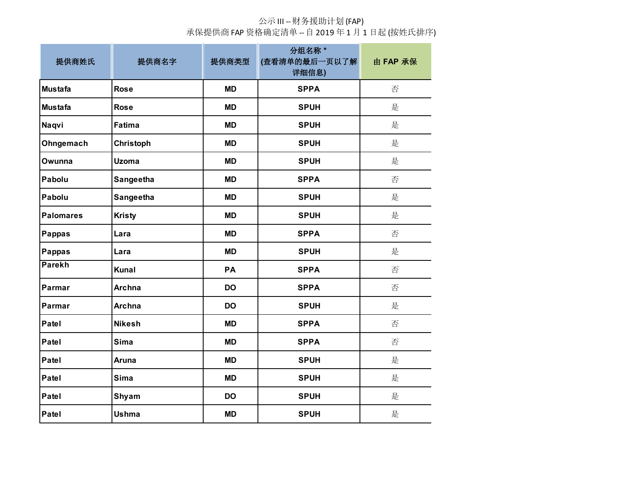| 提供商姓氏            | 提供商名字         | 提供商类型     | 分组名称 *<br>(查看清单的最后一页以了解<br>详细信息) | 由 FAP 承保 |
|------------------|---------------|-----------|----------------------------------|----------|
| <b>Mustafa</b>   | <b>Rose</b>   | <b>MD</b> | <b>SPPA</b>                      | 否        |
| <b>Mustafa</b>   | <b>Rose</b>   | <b>MD</b> | <b>SPUH</b>                      | 是        |
| Naqvi            | Fatima        | <b>MD</b> | <b>SPUH</b>                      | 是        |
| Ohngemach        | Christoph     | <b>MD</b> | <b>SPUH</b>                      | 是        |
| Owunna           | <b>Uzoma</b>  | <b>MD</b> | <b>SPUH</b>                      | 是        |
| Pabolu           | Sangeetha     | <b>MD</b> | <b>SPPA</b>                      | 否        |
| Pabolu           | Sangeetha     | <b>MD</b> | <b>SPUH</b>                      | 是        |
| <b>Palomares</b> | <b>Kristy</b> | <b>MD</b> | <b>SPUH</b>                      | 是        |
| <b>Pappas</b>    | Lara          | <b>MD</b> | <b>SPPA</b>                      | 否        |
| <b>Pappas</b>    | Lara          | <b>MD</b> | <b>SPUH</b>                      | 是        |
| <b>Parekh</b>    | Kunal         | PA        | <b>SPPA</b>                      | 否        |
| Parmar           | <b>Archna</b> | <b>DO</b> | <b>SPPA</b>                      | 否        |
| Parmar           | <b>Archna</b> | <b>DO</b> | <b>SPUH</b>                      | 是        |
| Patel            | <b>Nikesh</b> | <b>MD</b> | <b>SPPA</b>                      | 否        |
| Patel            | Sima          | <b>MD</b> | <b>SPPA</b>                      | 否        |
| Patel            | Aruna         | <b>MD</b> | <b>SPUH</b>                      | 是        |
| Patel            | Sima          | <b>MD</b> | <b>SPUH</b>                      | 是        |
| Patel            | Shyam         | <b>DO</b> | <b>SPUH</b>                      | 是        |
| Patel            | <b>Ushma</b>  | <b>MD</b> | <b>SPUH</b>                      | 是        |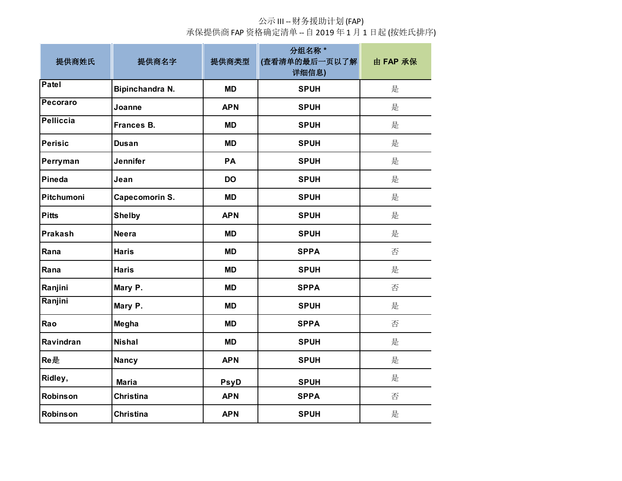| 提供商姓氏            | 提供商名字             | 提供商类型       | 分组名称 *<br>(查看清单的最后一页以了解<br>详细信息) | 由 FAP 承保 |
|------------------|-------------------|-------------|----------------------------------|----------|
| Patel            | Bipinchandra N.   | <b>MD</b>   | <b>SPUH</b>                      | 是        |
| Pecoraro         | Joanne            | <b>APN</b>  | <b>SPUH</b>                      | 是        |
| <b>Pelliccia</b> | <b>Frances B.</b> | <b>MD</b>   | <b>SPUH</b>                      | 是        |
| <b>Perisic</b>   | <b>Dusan</b>      | <b>MD</b>   | <b>SPUH</b>                      | 是        |
| Perryman         | <b>Jennifer</b>   | PA          | <b>SPUH</b>                      | 是        |
| Pineda           | Jean              | <b>DO</b>   | <b>SPUH</b>                      | 是        |
| Pitchumoni       | Capecomorin S.    | <b>MD</b>   | <b>SPUH</b>                      | 是        |
| <b>Pitts</b>     | <b>Shelby</b>     | <b>APN</b>  | <b>SPUH</b>                      | 是        |
| Prakash          | <b>Neera</b>      | <b>MD</b>   | <b>SPUH</b>                      | 是        |
| Rana             | <b>Haris</b>      | <b>MD</b>   | <b>SPPA</b>                      | 否        |
| Rana             | <b>Haris</b>      | <b>MD</b>   | <b>SPUH</b>                      | 是        |
| Ranjini          | Mary P.           | <b>MD</b>   | <b>SPPA</b>                      | 否        |
| Ranjini          | Mary P.           | <b>MD</b>   | <b>SPUH</b>                      | 是        |
| Rao              | Megha             | <b>MD</b>   | <b>SPPA</b>                      | 否        |
| Ravindran        | <b>Nishal</b>     | <b>MD</b>   | <b>SPUH</b>                      | 是        |
| Re是              | <b>Nancy</b>      | <b>APN</b>  | <b>SPUH</b>                      | 是        |
| Ridley,          | <b>Maria</b>      | <b>PsyD</b> | <b>SPUH</b>                      | 是        |
| <b>Robinson</b>  | <b>Christina</b>  | <b>APN</b>  | <b>SPPA</b>                      | 否        |
| Robinson         | <b>Christina</b>  | <b>APN</b>  | <b>SPUH</b>                      | 是        |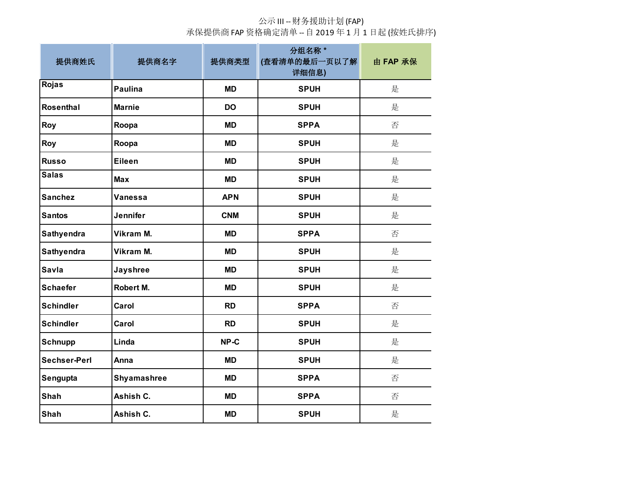| 提供商姓氏               | 提供商名字              | 提供商类型      | 分组名称 *<br>(查看清单的最后一页以了解<br>详细信息) | 由 FAP 承保 |
|---------------------|--------------------|------------|----------------------------------|----------|
| Rojas               | <b>Paulina</b>     | <b>MD</b>  | <b>SPUH</b>                      | 是        |
| Rosenthal           | <b>Marnie</b>      | <b>DO</b>  | <b>SPUH</b>                      | 是        |
| Roy                 | Roopa              | <b>MD</b>  | <b>SPPA</b>                      | 否        |
| Roy                 | Roopa              | <b>MD</b>  | <b>SPUH</b>                      | 是        |
| <b>Russo</b>        | <b>Eileen</b>      | <b>MD</b>  | <b>SPUH</b>                      | 是        |
| <b>Salas</b>        | <b>Max</b>         | <b>MD</b>  | <b>SPUH</b>                      | 是        |
| <b>Sanchez</b>      | Vanessa            | <b>APN</b> | <b>SPUH</b>                      | 是        |
| <b>Santos</b>       | Jennifer           | <b>CNM</b> | <b>SPUH</b>                      | 是        |
| Sathyendra          | Vikram M.          | <b>MD</b>  | <b>SPPA</b>                      | 否        |
| Sathyendra          | Vikram M.          | <b>MD</b>  | <b>SPUH</b>                      | 是        |
| <b>Savla</b>        | <b>Jayshree</b>    | <b>MD</b>  | <b>SPUH</b>                      | 是        |
| <b>Schaefer</b>     | Robert M.          | <b>MD</b>  | <b>SPUH</b>                      | 是        |
| <b>Schindler</b>    | Carol              | <b>RD</b>  | <b>SPPA</b>                      | 否        |
| <b>Schindler</b>    | Carol              | <b>RD</b>  | <b>SPUH</b>                      | 是        |
| <b>Schnupp</b>      | Linda              | NP-C       | <b>SPUH</b>                      | 是        |
| <b>Sechser-Perl</b> | Anna               | <b>MD</b>  | <b>SPUH</b>                      | 是        |
| Sengupta            | <b>Shyamashree</b> | <b>MD</b>  | <b>SPPA</b>                      | 否        |
| Shah                | Ashish C.          | <b>MD</b>  | <b>SPPA</b>                      | 否        |
| Shah                | Ashish C.          | <b>MD</b>  | <b>SPUH</b>                      | 是        |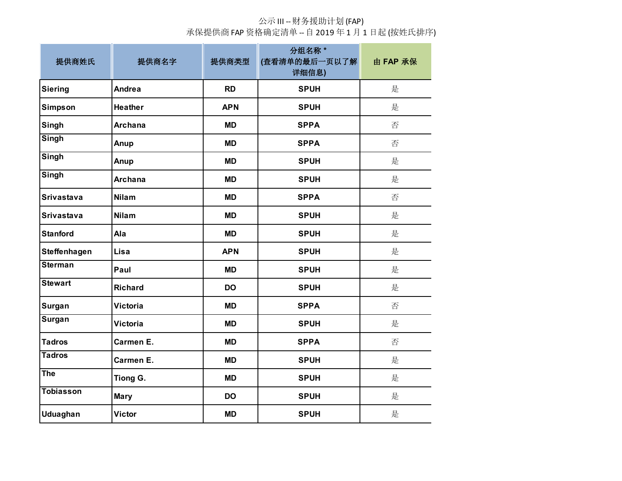| 提供商姓氏             | 提供商名字           | 提供商类型      | 分组名称 *<br>(查看清单的最后一页以了解<br>详细信息) | 由 FAP 承保 |
|-------------------|-----------------|------------|----------------------------------|----------|
| <b>Siering</b>    | Andrea          | <b>RD</b>  | <b>SPUH</b>                      | 是        |
| <b>Simpson</b>    | <b>Heather</b>  | <b>APN</b> | <b>SPUH</b>                      | 是        |
| Singh             | <b>Archana</b>  | <b>MD</b>  | <b>SPPA</b>                      | 否        |
| Singh             | Anup            | <b>MD</b>  | <b>SPPA</b>                      | 否        |
| Singh             | Anup            | <b>MD</b>  | <b>SPUH</b>                      | 是        |
| Singh             | <b>Archana</b>  | <b>MD</b>  | <b>SPUH</b>                      | 是        |
| <b>Srivastava</b> | <b>Nilam</b>    | <b>MD</b>  | <b>SPPA</b>                      | 否        |
| <b>Srivastava</b> | <b>Nilam</b>    | <b>MD</b>  | <b>SPUH</b>                      | 是        |
| <b>Stanford</b>   | Ala             | <b>MD</b>  | <b>SPUH</b>                      | 是        |
| Steffenhagen      | Lisa            | <b>APN</b> | <b>SPUH</b>                      | 是        |
| <b>Sterman</b>    | Paul            | <b>MD</b>  | <b>SPUH</b>                      | 是        |
| <b>Stewart</b>    | <b>Richard</b>  | <b>DO</b>  | <b>SPUH</b>                      | 是        |
| Surgan            | <b>Victoria</b> | <b>MD</b>  | <b>SPPA</b>                      | 否        |
| Surgan            | <b>Victoria</b> | <b>MD</b>  | <b>SPUH</b>                      | 是        |
| <b>Tadros</b>     | Carmen E.       | <b>MD</b>  | <b>SPPA</b>                      | 否        |
| <b>Tadros</b>     | Carmen E.       | <b>MD</b>  | <b>SPUH</b>                      | 是        |
| The               | Tiong G.        | <b>MD</b>  | <b>SPUH</b>                      | 是        |
| <b>Tobiasson</b>  | <b>Mary</b>     | <b>DO</b>  | <b>SPUH</b>                      | 是        |
| <b>Uduaghan</b>   | <b>Victor</b>   | <b>MD</b>  | <b>SPUH</b>                      | 是        |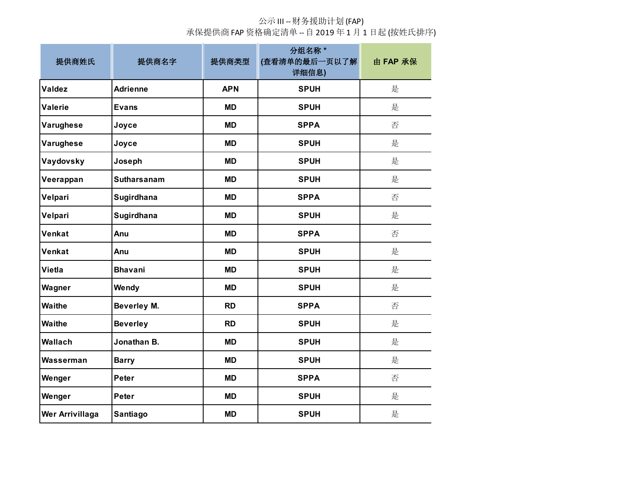| 提供商姓氏                  | 提供商名字              | 提供商类型      | 分组名称*<br>(查看清单的最后一页以了解<br>详细信息) | 由 FAP 承保 |
|------------------------|--------------------|------------|---------------------------------|----------|
| <b>Valdez</b>          | <b>Adrienne</b>    | <b>APN</b> | <b>SPUH</b>                     | 是        |
| <b>Valerie</b>         | <b>Evans</b>       | <b>MD</b>  | <b>SPUH</b>                     | 是        |
| Varughese              | Joyce              | <b>MD</b>  | <b>SPPA</b>                     | 否        |
| Varughese              | Joyce              | <b>MD</b>  | <b>SPUH</b>                     | 是        |
| Vaydovsky              | Joseph             | <b>MD</b>  | <b>SPUH</b>                     | 是        |
| Veerappan              | <b>Sutharsanam</b> | <b>MD</b>  | <b>SPUH</b>                     | 是        |
| Velpari                | Sugirdhana         | <b>MD</b>  | <b>SPPA</b>                     | 否        |
| Velpari                | Sugirdhana         | <b>MD</b>  | <b>SPUH</b>                     | 是        |
| Venkat                 | Anu                | <b>MD</b>  | <b>SPPA</b>                     | 否        |
| Venkat                 | Anu                | <b>MD</b>  | <b>SPUH</b>                     | 是        |
| <b>Vietla</b>          | <b>Bhavani</b>     | <b>MD</b>  | <b>SPUH</b>                     | 是        |
| Wagner                 | Wendy              | <b>MD</b>  | <b>SPUH</b>                     | 是        |
| <b>Waithe</b>          | <b>Beverley M.</b> | <b>RD</b>  | <b>SPPA</b>                     | 否        |
| <b>Waithe</b>          | <b>Beverley</b>    | <b>RD</b>  | <b>SPUH</b>                     | 是        |
| Wallach                | Jonathan B.        | <b>MD</b>  | <b>SPUH</b>                     | 是        |
| Wasserman              | <b>Barry</b>       | <b>MD</b>  | <b>SPUH</b>                     | 是        |
| Wenger                 | <b>Peter</b>       | <b>MD</b>  | <b>SPPA</b>                     | 否        |
| Wenger                 | <b>Peter</b>       | <b>MD</b>  | <b>SPUH</b>                     | 是        |
| <b>Wer Arrivillaga</b> | Santiago           | <b>MD</b>  | <b>SPUH</b>                     | 是        |